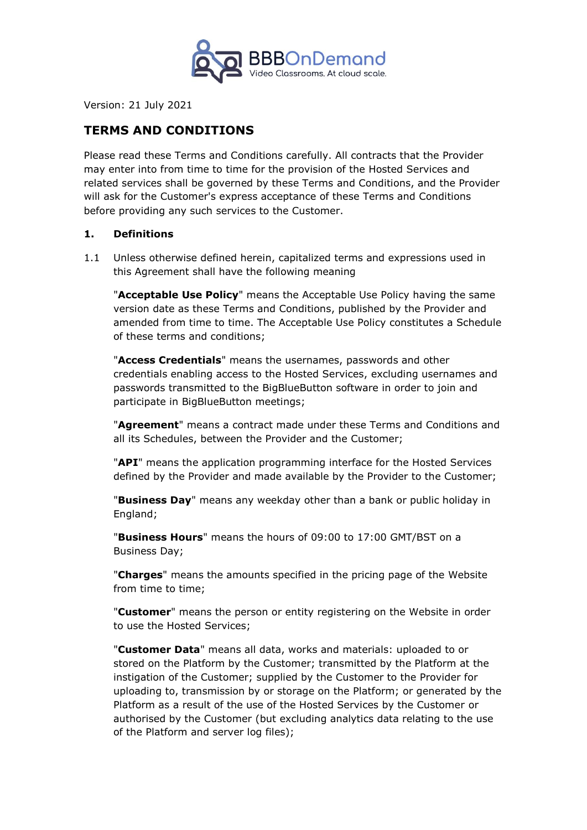

Version: 21 July 2021

# **TERMS AND CONDITIONS**

Please read these Terms and Conditions carefully. All contracts that the Provider may enter into from time to time for the provision of the Hosted Services and related services shall be governed by these Terms and Conditions, and the Provider will ask for the Customer's express acceptance of these Terms and Conditions before providing any such services to the Customer.

### **1. Definitions**

1.1 Unless otherwise defined herein, capitalized terms and expressions used in this Agreement shall have the following meaning

"**Acceptable Use Policy**" means the Acceptable Use Policy having the same version date as these Terms and Conditions, published by the Provider and amended from time to time. The Acceptable Use Policy constitutes a Schedule of these terms and conditions;

"**Access Credentials**" means the usernames, passwords and other credentials enabling access to the Hosted Services, excluding usernames and passwords transmitted to the BigBlueButton software in order to join and participate in BigBlueButton meetings;

"**Agreement**" means a contract made under these Terms and Conditions and all its Schedules, between the Provider and the Customer;

"**API**" means the application programming interface for the Hosted Services defined by the Provider and made available by the Provider to the Customer;

"**Business Day**" means any weekday other than a bank or public holiday in England;

"**Business Hours**" means the hours of 09:00 to 17:00 GMT/BST on a Business Day;

"**Charges**" means the amounts specified in the pricing page of the Website from time to time;

"**Customer**" means the person or entity registering on the Website in order to use the Hosted Services;

"**Customer Data**" means all data, works and materials: uploaded to or stored on the Platform by the Customer; transmitted by the Platform at the instigation of the Customer; supplied by the Customer to the Provider for uploading to, transmission by or storage on the Platform; or generated by the Platform as a result of the use of the Hosted Services by the Customer or authorised by the Customer (but excluding analytics data relating to the use of the Platform and server log files);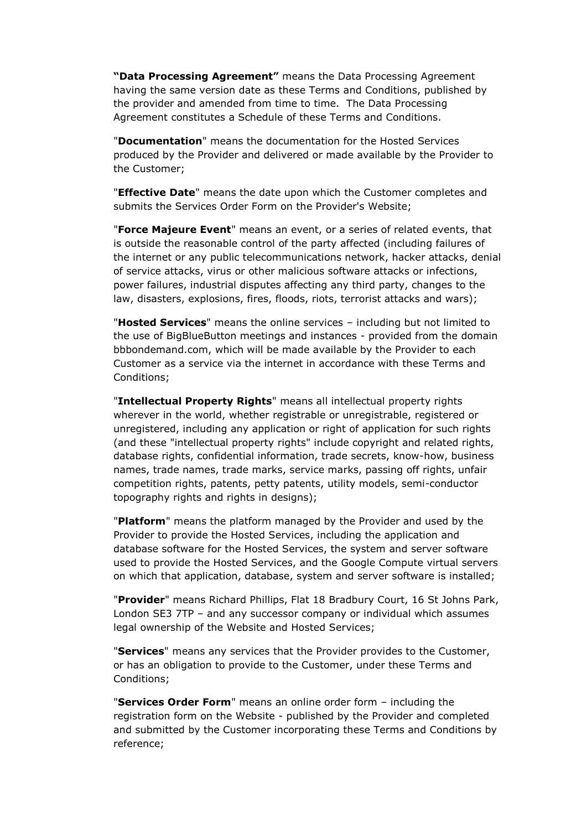**"Data Processing Agreement"** means the Data Processing Agreement having the same version date as these Terms and Conditions, published by the provider and amended from time to time. The Data Processing Agreement constitutes a Schedule of these Terms and Conditions.

"**Documentation**" means the documentation for the Hosted Services produced by the Provider and delivered or made available by the Provider to the Customer;

"**Effective Date**" means the date upon which the Customer completes and submits the Services Order Form on the Provider's Website;

"**Force Majeure Event**" means an event, or a series of related events, that is outside the reasonable control of the party affected (including failures of the internet or any public telecommunications network, hacker attacks, denial of service attacks, virus or other malicious software attacks or infections, power failures, industrial disputes affecting any third party, changes to the law, disasters, explosions, fires, floods, riots, terrorist attacks and wars);

"**Hosted Services**" means the online services – including but not limited to the use of BigBlueButton meetings and instances - provided from the domain bbbondemand.com, which will be made available by the Provider to each Customer as a service via the internet in accordance with these Terms and Conditions;

"**Intellectual Property Rights**" means all intellectual property rights wherever in the world, whether registrable or unregistrable, registered or unregistered, including any application or right of application for such rights (and these "intellectual property rights" include copyright and related rights, database rights, confidential information, trade secrets, know-how, business names, trade names, trade marks, service marks, passing off rights, unfair competition rights, patents, petty patents, utility models, semi-conductor topography rights and rights in designs);

"**Platform**" means the platform managed by the Provider and used by the Provider to provide the Hosted Services, including the application and database software for the Hosted Services, the system and server software used to provide the Hosted Services, and the Google Compute virtual servers on which that application, database, system and server software is installed;

"**Provider**" means Richard Phillips, Flat 18 Bradbury Court, 16 St Johns Park, London SE3 7TP – and any successor company or individual which assumes legal ownership of the Website and Hosted Services;

"**Services**" means any services that the Provider provides to the Customer, or has an obligation to provide to the Customer, under these Terms and Conditions;

"**Services Order Form**" means an online order form – including the registration form on the Website - published by the Provider and completed and submitted by the Customer incorporating these Terms and Conditions by reference;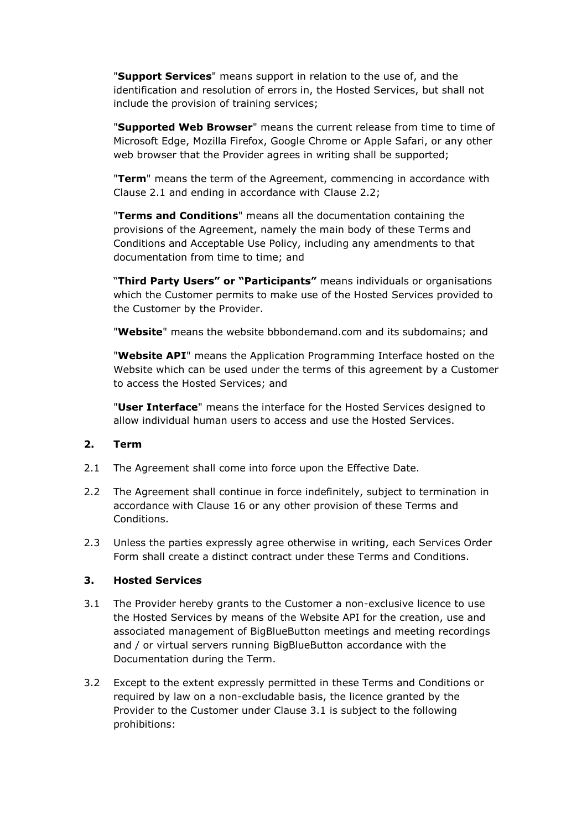"**Support Services**" means support in relation to the use of, and the identification and resolution of errors in, the Hosted Services, but shall not include the provision of training services;

"**Supported Web Browser**" means the current release from time to time of Microsoft Edge, Mozilla Firefox, Google Chrome or Apple Safari, or any other web browser that the Provider agrees in writing shall be supported;

"**Term**" means the term of the Agreement, commencing in accordance with Clause 2.1 and ending in accordance with Clause 2.2;

"**Terms and Conditions**" means all the documentation containing the provisions of the Agreement, namely the main body of these Terms and Conditions and Acceptable Use Policy, including any amendments to that documentation from time to time; and

"**Third Party Users" or "Participants"** means individuals or organisations which the Customer permits to make use of the Hosted Services provided to the Customer by the Provider.

"**Website**" means the website bbbondemand.com and its subdomains; and

"**Website API**" means the Application Programming Interface hosted on the Website which can be used under the terms of this agreement by a Customer to access the Hosted Services; and

"**User Interface**" means the interface for the Hosted Services designed to allow individual human users to access and use the Hosted Services.

### **2. Term**

- 2.1 The Agreement shall come into force upon the Effective Date.
- 2.2 The Agreement shall continue in force indefinitely, subject to termination in accordance with Clause 16 or any other provision of these Terms and Conditions.
- 2.3 Unless the parties expressly agree otherwise in writing, each Services Order Form shall create a distinct contract under these Terms and Conditions.

### **3. Hosted Services**

- 3.1 The Provider hereby grants to the Customer a non-exclusive licence to use the Hosted Services by means of the Website API for the creation, use and associated management of BigBlueButton meetings and meeting recordings and / or virtual servers running BigBlueButton accordance with the Documentation during the Term.
- 3.2 Except to the extent expressly permitted in these Terms and Conditions or required by law on a non-excludable basis, the licence granted by the Provider to the Customer under Clause 3.1 is subject to the following prohibitions: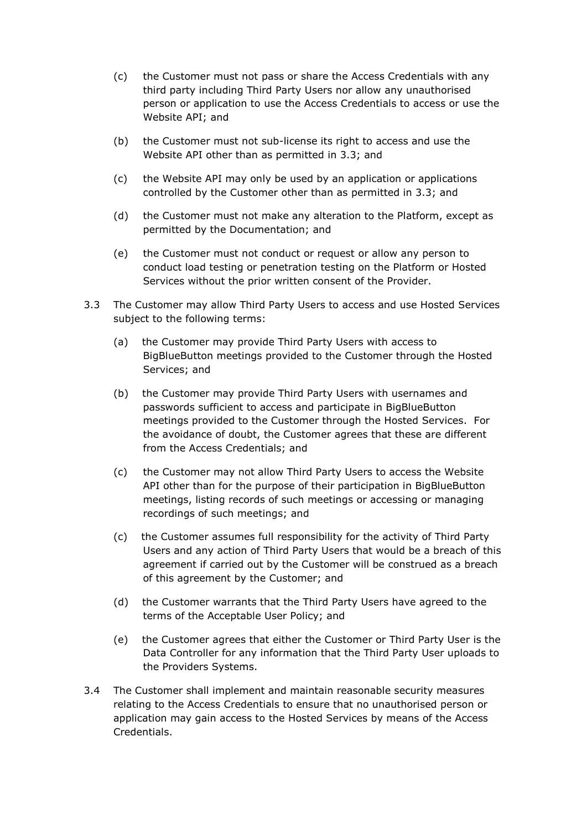- (c) the Customer must not pass or share the Access Credentials with any third party including Third Party Users nor allow any unauthorised person or application to use the Access Credentials to access or use the Website API; and
- (b) the Customer must not sub-license its right to access and use the Website API other than as permitted in 3.3; and
- (c) the Website API may only be used by an application or applications controlled by the Customer other than as permitted in 3.3; and
- (d) the Customer must not make any alteration to the Platform, except as permitted by the Documentation; and
- (e) the Customer must not conduct or request or allow any person to conduct load testing or penetration testing on the Platform or Hosted Services without the prior written consent of the Provider.
- 3.3 The Customer may allow Third Party Users to access and use Hosted Services subject to the following terms:
	- (a) the Customer may provide Third Party Users with access to BigBlueButton meetings provided to the Customer through the Hosted Services; and
	- (b) the Customer may provide Third Party Users with usernames and passwords sufficient to access and participate in BigBlueButton meetings provided to the Customer through the Hosted Services. For the avoidance of doubt, the Customer agrees that these are different from the Access Credentials; and
	- (c) the Customer may not allow Third Party Users to access the Website API other than for the purpose of their participation in BigBlueButton meetings, listing records of such meetings or accessing or managing recordings of such meetings; and
	- (c) the Customer assumes full responsibility for the activity of Third Party Users and any action of Third Party Users that would be a breach of this agreement if carried out by the Customer will be construed as a breach of this agreement by the Customer; and
	- (d) the Customer warrants that the Third Party Users have agreed to the terms of the Acceptable User Policy; and
	- (e) the Customer agrees that either the Customer or Third Party User is the Data Controller for any information that the Third Party User uploads to the Providers Systems.
- 3.4 The Customer shall implement and maintain reasonable security measures relating to the Access Credentials to ensure that no unauthorised person or application may gain access to the Hosted Services by means of the Access Credentials.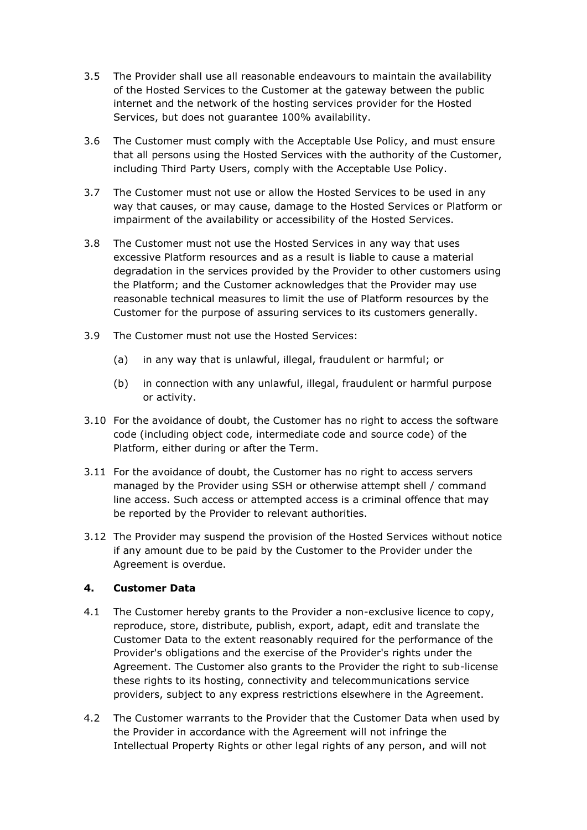- 3.5 The Provider shall use all reasonable endeavours to maintain the availability of the Hosted Services to the Customer at the gateway between the public internet and the network of the hosting services provider for the Hosted Services, but does not guarantee 100% availability.
- 3.6 The Customer must comply with the Acceptable Use Policy, and must ensure that all persons using the Hosted Services with the authority of the Customer, including Third Party Users, comply with the Acceptable Use Policy.
- 3.7 The Customer must not use or allow the Hosted Services to be used in any way that causes, or may cause, damage to the Hosted Services or Platform or impairment of the availability or accessibility of the Hosted Services.
- 3.8 The Customer must not use the Hosted Services in any way that uses excessive Platform resources and as a result is liable to cause a material degradation in the services provided by the Provider to other customers using the Platform; and the Customer acknowledges that the Provider may use reasonable technical measures to limit the use of Platform resources by the Customer for the purpose of assuring services to its customers generally.
- 3.9 The Customer must not use the Hosted Services:
	- (a) in any way that is unlawful, illegal, fraudulent or harmful; or
	- (b) in connection with any unlawful, illegal, fraudulent or harmful purpose or activity.
- 3.10 For the avoidance of doubt, the Customer has no right to access the software code (including object code, intermediate code and source code) of the Platform, either during or after the Term.
- 3.11 For the avoidance of doubt, the Customer has no right to access servers managed by the Provider using SSH or otherwise attempt shell / command line access. Such access or attempted access is a criminal offence that may be reported by the Provider to relevant authorities.
- 3.12 The Provider may suspend the provision of the Hosted Services without notice if any amount due to be paid by the Customer to the Provider under the Agreement is overdue.

### **4. Customer Data**

- 4.1 The Customer hereby grants to the Provider a non-exclusive licence to copy, reproduce, store, distribute, publish, export, adapt, edit and translate the Customer Data to the extent reasonably required for the performance of the Provider's obligations and the exercise of the Provider's rights under the Agreement. The Customer also grants to the Provider the right to sub-license these rights to its hosting, connectivity and telecommunications service providers, subject to any express restrictions elsewhere in the Agreement.
- 4.2 The Customer warrants to the Provider that the Customer Data when used by the Provider in accordance with the Agreement will not infringe the Intellectual Property Rights or other legal rights of any person, and will not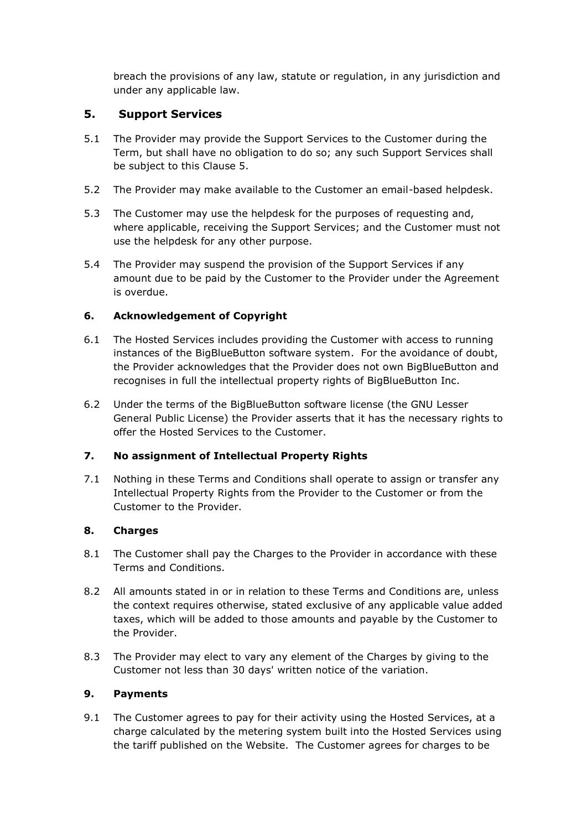breach the provisions of any law, statute or regulation, in any jurisdiction and under any applicable law.

## **5. Support Services**

- 5.1 The Provider may provide the Support Services to the Customer during the Term, but shall have no obligation to do so; any such Support Services shall be subject to this Clause 5.
- 5.2 The Provider may make available to the Customer an email-based helpdesk.
- 5.3 The Customer may use the helpdesk for the purposes of requesting and, where applicable, receiving the Support Services; and the Customer must not use the helpdesk for any other purpose.
- 5.4 The Provider may suspend the provision of the Support Services if any amount due to be paid by the Customer to the Provider under the Agreement is overdue.

## **6. Acknowledgement of Copyright**

- 6.1 The Hosted Services includes providing the Customer with access to running instances of the BigBlueButton software system. For the avoidance of doubt, the Provider acknowledges that the Provider does not own BigBlueButton and recognises in full the intellectual property rights of BigBlueButton Inc.
- 6.2 Under the terms of the BigBlueButton software license (the GNU Lesser General Public License) the Provider asserts that it has the necessary rights to offer the Hosted Services to the Customer.

## **7. No assignment of Intellectual Property Rights**

7.1 Nothing in these Terms and Conditions shall operate to assign or transfer any Intellectual Property Rights from the Provider to the Customer or from the Customer to the Provider.

## **8. Charges**

- 8.1 The Customer shall pay the Charges to the Provider in accordance with these Terms and Conditions.
- 8.2 All amounts stated in or in relation to these Terms and Conditions are, unless the context requires otherwise, stated exclusive of any applicable value added taxes, which will be added to those amounts and payable by the Customer to the Provider.
- 8.3 The Provider may elect to vary any element of the Charges by giving to the Customer not less than 30 days' written notice of the variation.

## **9. Payments**

9.1 The Customer agrees to pay for their activity using the Hosted Services, at a charge calculated by the metering system built into the Hosted Services using the tariff published on the Website. The Customer agrees for charges to be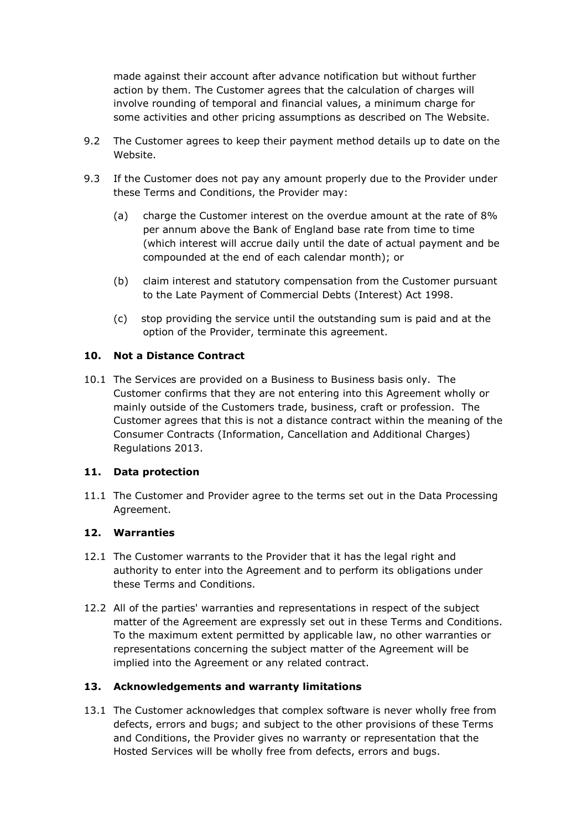made against their account after advance notification but without further action by them. The Customer agrees that the calculation of charges will involve rounding of temporal and financial values, a minimum charge for some activities and other pricing assumptions as described on The Website.

- 9.2 The Customer agrees to keep their payment method details up to date on the Website.
- 9.3 If the Customer does not pay any amount properly due to the Provider under these Terms and Conditions, the Provider may:
	- (a) charge the Customer interest on the overdue amount at the rate of 8% per annum above the Bank of England base rate from time to time (which interest will accrue daily until the date of actual payment and be compounded at the end of each calendar month); or
	- (b) claim interest and statutory compensation from the Customer pursuant to the Late Payment of Commercial Debts (Interest) Act 1998.
	- (c) stop providing the service until the outstanding sum is paid and at the option of the Provider, terminate this agreement.

### **10. Not a Distance Contract**

10.1 The Services are provided on a Business to Business basis only. The Customer confirms that they are not entering into this Agreement wholly or mainly outside of the Customers trade, business, craft or profession. The Customer agrees that this is not a distance contract within the meaning of the Consumer Contracts (Information, Cancellation and Additional Charges) Regulations 2013.

### **11. Data protection**

11.1 The Customer and Provider agree to the terms set out in the Data Processing Agreement.

### **12. Warranties**

- 12.1 The Customer warrants to the Provider that it has the legal right and authority to enter into the Agreement and to perform its obligations under these Terms and Conditions.
- 12.2 All of the parties' warranties and representations in respect of the subject matter of the Agreement are expressly set out in these Terms and Conditions. To the maximum extent permitted by applicable law, no other warranties or representations concerning the subject matter of the Agreement will be implied into the Agreement or any related contract.

## **13. Acknowledgements and warranty limitations**

13.1 The Customer acknowledges that complex software is never wholly free from defects, errors and bugs; and subject to the other provisions of these Terms and Conditions, the Provider gives no warranty or representation that the Hosted Services will be wholly free from defects, errors and bugs.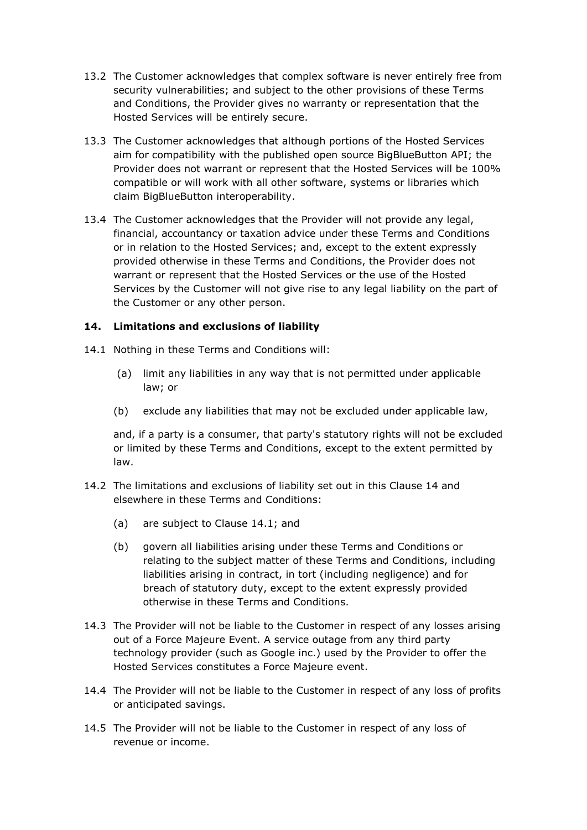- 13.2 The Customer acknowledges that complex software is never entirely free from security vulnerabilities; and subject to the other provisions of these Terms and Conditions, the Provider gives no warranty or representation that the Hosted Services will be entirely secure.
- 13.3 The Customer acknowledges that although portions of the Hosted Services aim for compatibility with the published open source BigBlueButton API; the Provider does not warrant or represent that the Hosted Services will be 100% compatible or will work with all other software, systems or libraries which claim BigBlueButton interoperability.
- 13.4 The Customer acknowledges that the Provider will not provide any legal, financial, accountancy or taxation advice under these Terms and Conditions or in relation to the Hosted Services; and, except to the extent expressly provided otherwise in these Terms and Conditions, the Provider does not warrant or represent that the Hosted Services or the use of the Hosted Services by the Customer will not give rise to any legal liability on the part of the Customer or any other person.

### **14. Limitations and exclusions of liability**

- 14.1 Nothing in these Terms and Conditions will:
	- (a) limit any liabilities in any way that is not permitted under applicable law; or
	- (b) exclude any liabilities that may not be excluded under applicable law,

and, if a party is a consumer, that party's statutory rights will not be excluded or limited by these Terms and Conditions, except to the extent permitted by law.

- 14.2 The limitations and exclusions of liability set out in this Clause 14 and elsewhere in these Terms and Conditions:
	- (a) are subject to Clause 14.1; and
	- (b) govern all liabilities arising under these Terms and Conditions or relating to the subject matter of these Terms and Conditions, including liabilities arising in contract, in tort (including negligence) and for breach of statutory duty, except to the extent expressly provided otherwise in these Terms and Conditions.
- 14.3 The Provider will not be liable to the Customer in respect of any losses arising out of a Force Majeure Event. A service outage from any third party technology provider (such as Google inc.) used by the Provider to offer the Hosted Services constitutes a Force Majeure event.
- 14.4 The Provider will not be liable to the Customer in respect of any loss of profits or anticipated savings.
- 14.5 The Provider will not be liable to the Customer in respect of any loss of revenue or income.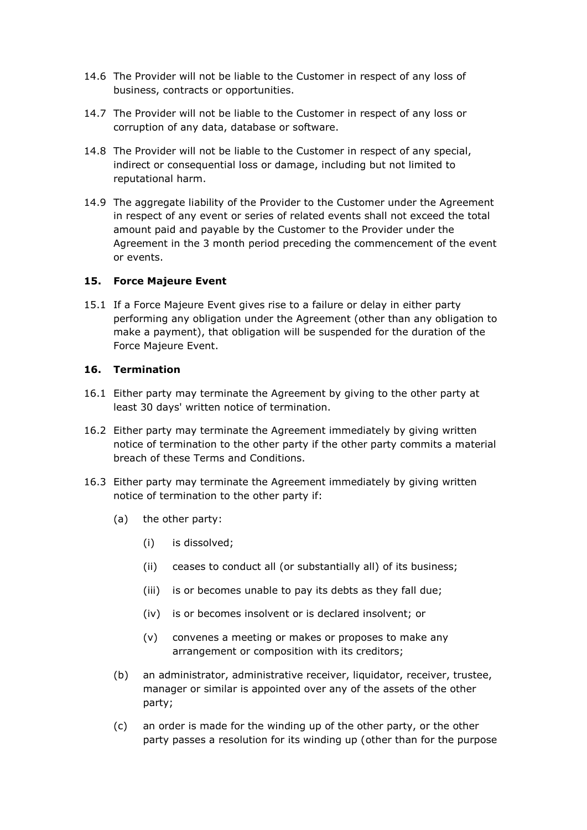- 14.6 The Provider will not be liable to the Customer in respect of any loss of business, contracts or opportunities.
- 14.7 The Provider will not be liable to the Customer in respect of any loss or corruption of any data, database or software.
- 14.8 The Provider will not be liable to the Customer in respect of any special, indirect or consequential loss or damage, including but not limited to reputational harm.
- 14.9 The aggregate liability of the Provider to the Customer under the Agreement in respect of any event or series of related events shall not exceed the total amount paid and payable by the Customer to the Provider under the Agreement in the 3 month period preceding the commencement of the event or events.

#### **15. Force Majeure Event**

15.1 If a Force Majeure Event gives rise to a failure or delay in either party performing any obligation under the Agreement (other than any obligation to make a payment), that obligation will be suspended for the duration of the Force Majeure Event.

#### **16. Termination**

- 16.1 Either party may terminate the Agreement by giving to the other party at least 30 days' written notice of termination.
- 16.2 Either party may terminate the Agreement immediately by giving written notice of termination to the other party if the other party commits a material breach of these Terms and Conditions.
- 16.3 Either party may terminate the Agreement immediately by giving written notice of termination to the other party if:
	- (a) the other party:
		- (i) is dissolved;
		- (ii) ceases to conduct all (or substantially all) of its business;
		- (iii) is or becomes unable to pay its debts as they fall due;
		- (iv) is or becomes insolvent or is declared insolvent; or
		- (v) convenes a meeting or makes or proposes to make any arrangement or composition with its creditors;
	- (b) an administrator, administrative receiver, liquidator, receiver, trustee, manager or similar is appointed over any of the assets of the other party;
	- (c) an order is made for the winding up of the other party, or the other party passes a resolution for its winding up (other than for the purpose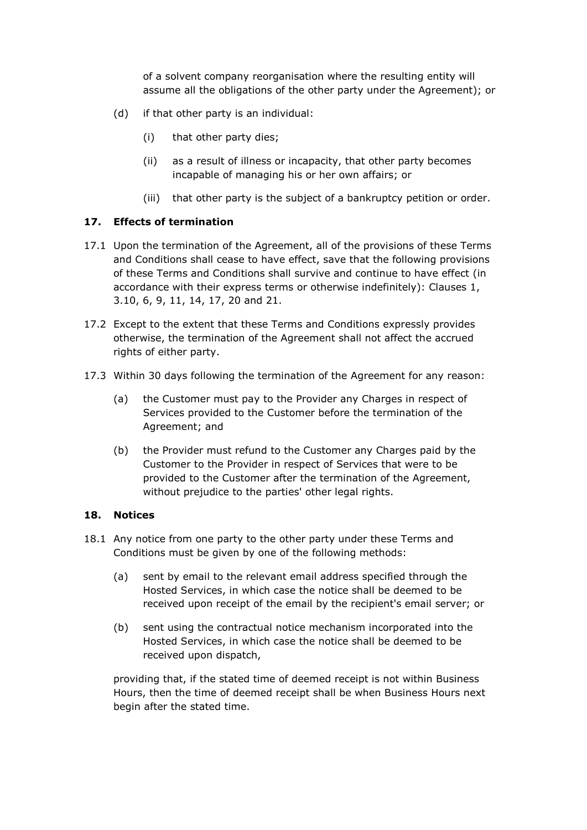of a solvent company reorganisation where the resulting entity will assume all the obligations of the other party under the Agreement); or

- (d) if that other party is an individual:
	- (i) that other party dies;
	- (ii) as a result of illness or incapacity, that other party becomes incapable of managing his or her own affairs; or
	- (iii) that other party is the subject of a bankruptcy petition or order.

#### **17. Effects of termination**

- 17.1 Upon the termination of the Agreement, all of the provisions of these Terms and Conditions shall cease to have effect, save that the following provisions of these Terms and Conditions shall survive and continue to have effect (in accordance with their express terms or otherwise indefinitely): Clauses 1, 3.10, 6, 9, 11, 14, 17, 20 and 21.
- 17.2 Except to the extent that these Terms and Conditions expressly provides otherwise, the termination of the Agreement shall not affect the accrued rights of either party.
- 17.3 Within 30 days following the termination of the Agreement for any reason:
	- (a) the Customer must pay to the Provider any Charges in respect of Services provided to the Customer before the termination of the Agreement; and
	- (b) the Provider must refund to the Customer any Charges paid by the Customer to the Provider in respect of Services that were to be provided to the Customer after the termination of the Agreement, without prejudice to the parties' other legal rights.

#### **18. Notices**

- 18.1 Any notice from one party to the other party under these Terms and Conditions must be given by one of the following methods:
	- (a) sent by email to the relevant email address specified through the Hosted Services, in which case the notice shall be deemed to be received upon receipt of the email by the recipient's email server; or
	- (b) sent using the contractual notice mechanism incorporated into the Hosted Services, in which case the notice shall be deemed to be received upon dispatch,

providing that, if the stated time of deemed receipt is not within Business Hours, then the time of deemed receipt shall be when Business Hours next begin after the stated time.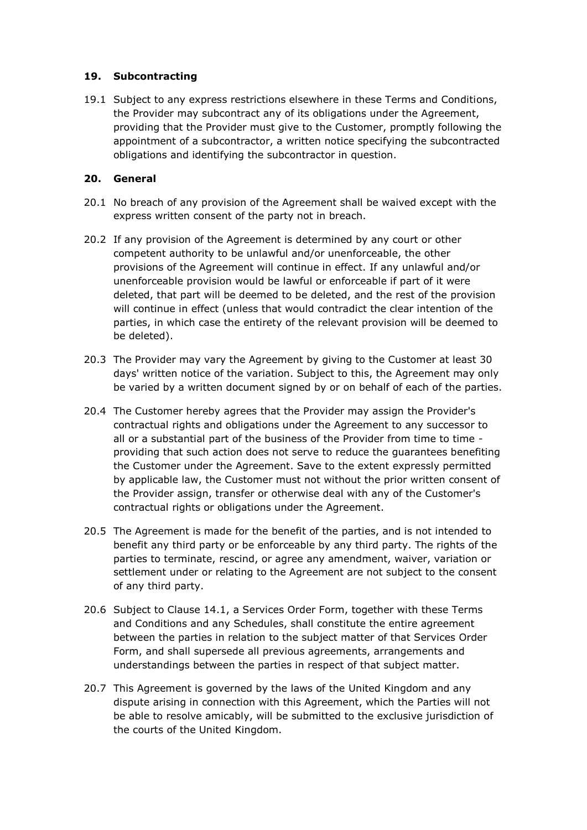### **19. Subcontracting**

19.1 Subject to any express restrictions elsewhere in these Terms and Conditions, the Provider may subcontract any of its obligations under the Agreement, providing that the Provider must give to the Customer, promptly following the appointment of a subcontractor, a written notice specifying the subcontracted obligations and identifying the subcontractor in question.

### **20. General**

- 20.1 No breach of any provision of the Agreement shall be waived except with the express written consent of the party not in breach.
- 20.2 If any provision of the Agreement is determined by any court or other competent authority to be unlawful and/or unenforceable, the other provisions of the Agreement will continue in effect. If any unlawful and/or unenforceable provision would be lawful or enforceable if part of it were deleted, that part will be deemed to be deleted, and the rest of the provision will continue in effect (unless that would contradict the clear intention of the parties, in which case the entirety of the relevant provision will be deemed to be deleted).
- 20.3 The Provider may vary the Agreement by giving to the Customer at least 30 days' written notice of the variation. Subject to this, the Agreement may only be varied by a written document signed by or on behalf of each of the parties.
- 20.4 The Customer hereby agrees that the Provider may assign the Provider's contractual rights and obligations under the Agreement to any successor to all or a substantial part of the business of the Provider from time to time providing that such action does not serve to reduce the guarantees benefiting the Customer under the Agreement. Save to the extent expressly permitted by applicable law, the Customer must not without the prior written consent of the Provider assign, transfer or otherwise deal with any of the Customer's contractual rights or obligations under the Agreement.
- 20.5 The Agreement is made for the benefit of the parties, and is not intended to benefit any third party or be enforceable by any third party. The rights of the parties to terminate, rescind, or agree any amendment, waiver, variation or settlement under or relating to the Agreement are not subject to the consent of any third party.
- 20.6 Subject to Clause 14.1, a Services Order Form, together with these Terms and Conditions and any Schedules, shall constitute the entire agreement between the parties in relation to the subject matter of that Services Order Form, and shall supersede all previous agreements, arrangements and understandings between the parties in respect of that subject matter.
- 20.7 This Agreement is governed by the laws of the United Kingdom and any dispute arising in connection with this Agreement, which the Parties will not be able to resolve amicably, will be submitted to the exclusive jurisdiction of the courts of the United Kingdom.